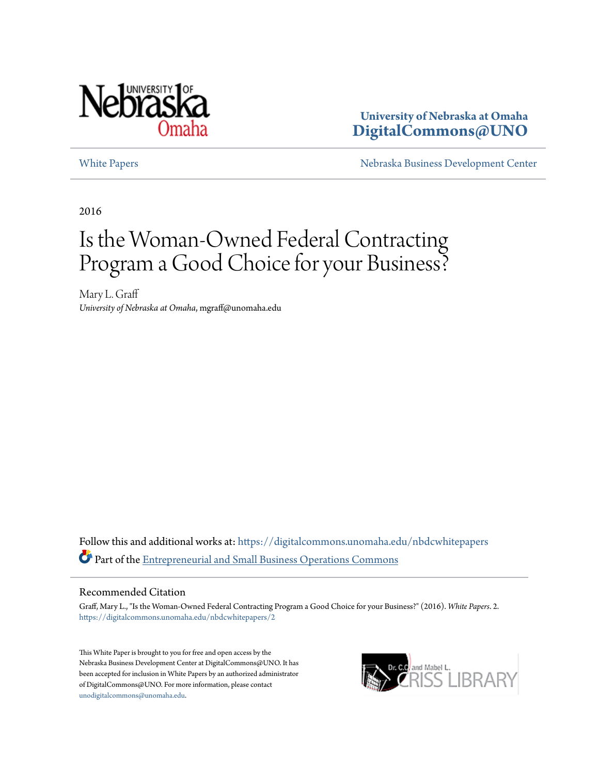

**University of Nebraska at Omaha [DigitalCommons@UNO](https://digitalcommons.unomaha.edu?utm_source=digitalcommons.unomaha.edu%2Fnbdcwhitepapers%2F2&utm_medium=PDF&utm_campaign=PDFCoverPages)**

[White Papers](https://digitalcommons.unomaha.edu/nbdcwhitepapers?utm_source=digitalcommons.unomaha.edu%2Fnbdcwhitepapers%2F2&utm_medium=PDF&utm_campaign=PDFCoverPages) **[Nebraska Business Development Center](https://digitalcommons.unomaha.edu/nbdc?utm_source=digitalcommons.unomaha.edu%2Fnbdcwhitepapers%2F2&utm_medium=PDF&utm_campaign=PDFCoverPages)** 

2016

# Is the Woman-Owned Federal Contracting Program a Good Choice for your Business?

Mary L. Graff *University of Nebraska at Omaha*, mgraff@unomaha.edu

Follow this and additional works at: [https://digitalcommons.unomaha.edu/nbdcwhitepapers](https://digitalcommons.unomaha.edu/nbdcwhitepapers?utm_source=digitalcommons.unomaha.edu%2Fnbdcwhitepapers%2F2&utm_medium=PDF&utm_campaign=PDFCoverPages) Part of the [Entrepreneurial and Small Business Operations Commons](http://network.bepress.com/hgg/discipline/630?utm_source=digitalcommons.unomaha.edu%2Fnbdcwhitepapers%2F2&utm_medium=PDF&utm_campaign=PDFCoverPages)

#### Recommended Citation

Graff, Mary L., "Is the Woman-Owned Federal Contracting Program a Good Choice for your Business?" (2016). *White Papers*. 2. [https://digitalcommons.unomaha.edu/nbdcwhitepapers/2](https://digitalcommons.unomaha.edu/nbdcwhitepapers/2?utm_source=digitalcommons.unomaha.edu%2Fnbdcwhitepapers%2F2&utm_medium=PDF&utm_campaign=PDFCoverPages)

This White Paper is brought to you for free and open access by the Nebraska Business Development Center at DigitalCommons@UNO. It has been accepted for inclusion in White Papers by an authorized administrator of DigitalCommons@UNO. For more information, please contact [unodigitalcommons@unomaha.edu](mailto:unodigitalcommons@unomaha.edu).

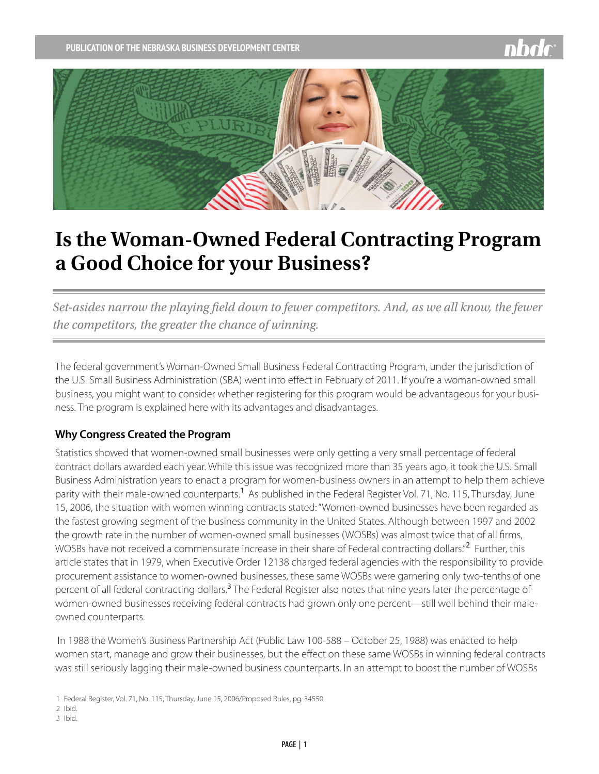

# **Is the Woman-Owned Federal Contracting Program a Good Choice for your Business?**

*Set-asides narrow the playing field down to fewer competitors. And, as we all know, the fewer the competitors, the greater the chance of winning.* 

The federal government's Woman-Owned Small Business Federal Contracting Program, under the jurisdiction of the U.S. Small Business Administration (SBA) went into effect in February of 2011. If you're a woman-owned small business, you might want to consider whether registering for this program would be advantageous for your business. The program is explained here with its advantages and disadvantages.

#### **Why Congress Created the Program**

Statistics showed that women-owned small businesses were only getting a very small percentage of federal contract dollars awarded each year. While this issue was recognized more than 35 years ago, it took the U.S. Small Business Administration years to enact a program for women-business owners in an attempt to help them achieve parity with their male-owned counterparts.<sup>1</sup> As published in the Federal Register Vol. 71, No. 115, Thursday, June 15, 2006, the situation with women winning contracts stated: "Women-owned businesses have been regarded as the fastest growing segment of the business community in the United States. Although between 1997 and 2002 the growth rate in the number of women-owned small businesses (WOSBs) was almost twice that of all firms, WOSBs have not received a commensurate increase in their share of Federal contracting dollars."<sup>2</sup> Further, this article states that in 1979, when Executive Order 12138 charged federal agencies with the responsibility to provide procurement assistance to women-owned businesses, these same WOSBs were garnering only two-tenths of one percent of all federal contracting dollars.<sup>3</sup> The Federal Register also notes that nine years later the percentage of women-owned businesses receiving federal contracts had grown only one percent—still well behind their maleowned counterparts.

 In 1988 the Women's Business Partnership Act (Public Law 100-588 – October 25, 1988) was enacted to help women start, manage and grow their businesses, but the effect on these same WOSBs in winning federal contracts was still seriously lagging their male-owned business counterparts. In an attempt to boost the number of WOSBs

1 Federal Register, Vol. 71, No. 115, Thursday, June 15, 2006/Proposed Rules, pg. 34550

- 2 Ibid.
- 3 Ibid.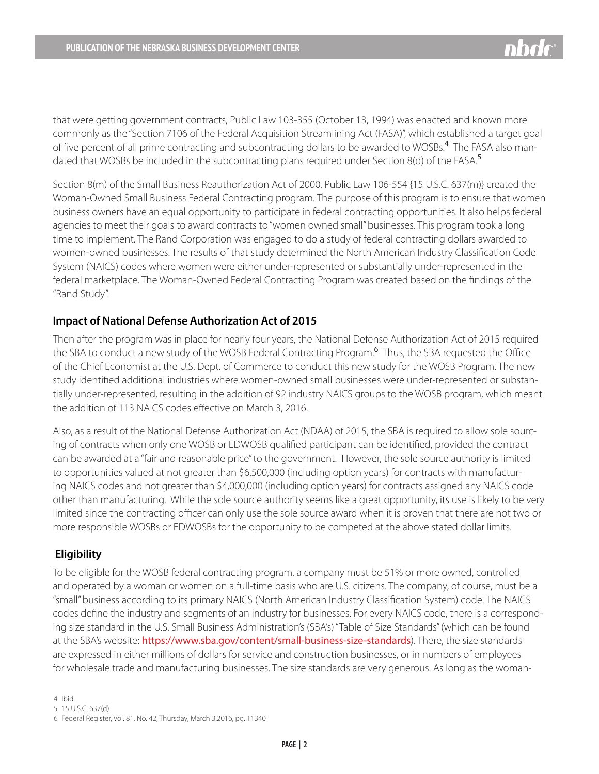that were getting government contracts, Public Law 103-355 (October 13, 1994) was enacted and known more commonly as the "Section 7106 of the Federal Acquisition Streamlining Act (FASA)", which established a target goal of five percent of all prime contracting and subcontracting dollars to be awarded to WOSBs.<sup>4</sup> The FASA also mandated that WOSBs be included in the subcontracting plans required under Section 8(d) of the FASA.<sup>5</sup>

Section 8(m) of the Small Business Reauthorization Act of 2000, Public Law 106-554 {15 U.S.C. 637(m)} created the Woman-Owned Small Business Federal Contracting program. The purpose of this program is to ensure that women business owners have an equal opportunity to participate in federal contracting opportunities. It also helps federal agencies to meet their goals to award contracts to "women owned small" businesses. This program took a long time to implement. The Rand Corporation was engaged to do a study of federal contracting dollars awarded to women-owned businesses. The results of that study determined the North American Industry Classification Code System (NAICS) codes where women were either under-represented or substantially under-represented in the federal marketplace. The Woman-Owned Federal Contracting Program was created based on the findings of the "Rand Study".

#### **Impact of National Defense Authorization Act of 2015**

Then after the program was in place for nearly four years, the National Defense Authorization Act of 2015 required the SBA to conduct a new study of the WOSB Federal Contracting Program.<sup>6</sup> Thus, the SBA requested the Office of the Chief Economist at the U.S. Dept. of Commerce to conduct this new study for the WOSB Program. The new study identified additional industries where women-owned small businesses were under-represented or substantially under-represented, resulting in the addition of 92 industry NAICS groups to the WOSB program, which meant the addition of 113 NAICS codes effective on March 3, 2016.

Also, as a result of the National Defense Authorization Act (NDAA) of 2015, the SBA is required to allow sole sourcing of contracts when only one WOSB or EDWOSB qualified participant can be identified, provided the contract can be awarded at a "fair and reasonable price" to the government. However, the sole source authority is limited to opportunities valued at not greater than \$6,500,000 (including option years) for contracts with manufacturing NAICS codes and not greater than \$4,000,000 (including option years) for contracts assigned any NAICS code other than manufacturing. While the sole source authority seems like a great opportunity, its use is likely to be very limited since the contracting officer can only use the sole source award when it is proven that there are not two or more responsible WOSBs or EDWOSBs for the opportunity to be competed at the above stated dollar limits.

#### **Eligibility**

To be eligible for the WOSB federal contracting program, a company must be 51% or more owned, controlled and operated by a woman or women on a full-time basis who are U.S. citizens. The company, of course, must be a "small" business according to its primary NAICS (North American Industry Classification System) code. The NAICS codes define the industry and segments of an industry for businesses. For every NAICS code, there is a corresponding size standard in the U.S. Small Business Administration's (SBA's) "Table of Size Standards" (which can be found at the SBA's website: <https://www.sba.gov/content/small-business-size-standards>). There, the size standards are expressed in either millions of dollars for service and construction businesses, or in numbers of employees for wholesale trade and manufacturing businesses. The size standards are very generous. As long as the woman-

4 Ibid.

5 15 U.S.C. 637(d)

<sup>6</sup> Federal Register, Vol. 81, No. 42, Thursday, March 3,2016, pg. 11340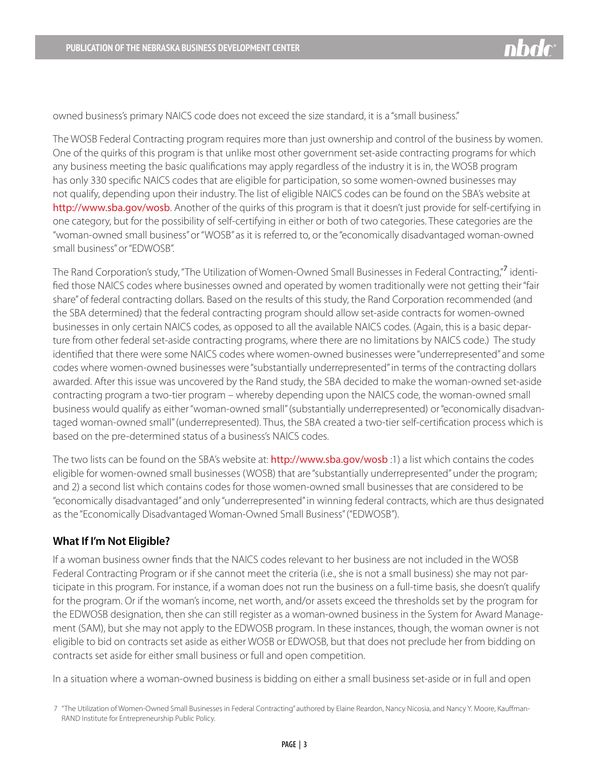

owned business's primary NAICS code does not exceed the size standard, it is a "small business."

The WOSB Federal Contracting program requires more than just ownership and control of the business by women. One of the quirks of this program is that unlike most other government set-aside contracting programs for which any business meeting the basic qualifications may apply regardless of the industry it is in, the WOSB program has only 330 specific NAICS codes that are eligible for participation, so some women-owned businesses may not qualify, depending upon their industry. The list of eligible NAICS codes can be found on the SBA's website at <http://www.sba.gov/wosb>. Another of the quirks of this program is that it doesn't just provide for self-certifying in one category, but for the possibility of self-certifying in either or both of two categories. These categories are the "woman-owned small business" or "WOSB" as it is referred to, or the "economically disadvantaged woman-owned small business" or "EDWOSB".

The Rand Corporation's study, "The Utilization of Women-Owned Small Businesses in Federal Contracting,"<sup>7</sup> identified those NAICS codes where businesses owned and operated by women traditionally were not getting their "fair share" of federal contracting dollars. Based on the results of this study, the Rand Corporation recommended (and the SBA determined) that the federal contracting program should allow set-aside contracts for women-owned businesses in only certain NAICS codes, as opposed to all the available NAICS codes. (Again, this is a basic departure from other federal set-aside contracting programs, where there are no limitations by NAICS code.) The study identified that there were some NAICS codes where women-owned businesses were "underrepresented" and some codes where women-owned businesses were "substantially underrepresented" in terms of the contracting dollars awarded. After this issue was uncovered by the Rand study, the SBA decided to make the woman-owned set-aside contracting program a two-tier program – whereby depending upon the NAICS code, the woman-owned small business would qualify as either "woman-owned small" (substantially underrepresented) or "economically disadvantaged woman-owned small" (underrepresented). Thus, the SBA created a two-tier self-certification process which is based on the pre-determined status of a business's NAICS codes.

The two lists can be found on the SBA's website at: <http://www.sba.gov/wosb> :1) a list which contains the codes eligible for women-owned small businesses (WOSB) that are "substantially underrepresented" under the program; and 2) a second list which contains codes for those women-owned small businesses that are considered to be "economically disadvantaged" and only "underrepresented" in winning federal contracts, which are thus designated as the "Economically Disadvantaged Woman-Owned Small Business" ("EDWOSB").

#### **What If I'm Not Eligible?**

If a woman business owner finds that the NAICS codes relevant to her business are not included in the WOSB Federal Contracting Program or if she cannot meet the criteria (i.e., she is not a small business) she may not participate in this program. For instance, if a woman does not run the business on a full-time basis, she doesn't qualify for the program. Or if the woman's income, net worth, and/or assets exceed the thresholds set by the program for the EDWOSB designation, then she can still register as a woman-owned business in the System for Award Management (SAM), but she may not apply to the EDWOSB program. In these instances, though, the woman owner is not eligible to bid on contracts set aside as either WOSB or EDWOSB, but that does not preclude her from bidding on contracts set aside for either small business or full and open competition.

In a situation where a woman-owned business is bidding on either a small business set-aside or in full and open

<sup>7</sup> "The Utilization of Women-Owned Small Businesses in Federal Contracting" authored by Elaine Reardon, Nancy Nicosia, and Nancy Y. Moore, Kauffman-RAND Institute for Entrepreneurship Public Policy.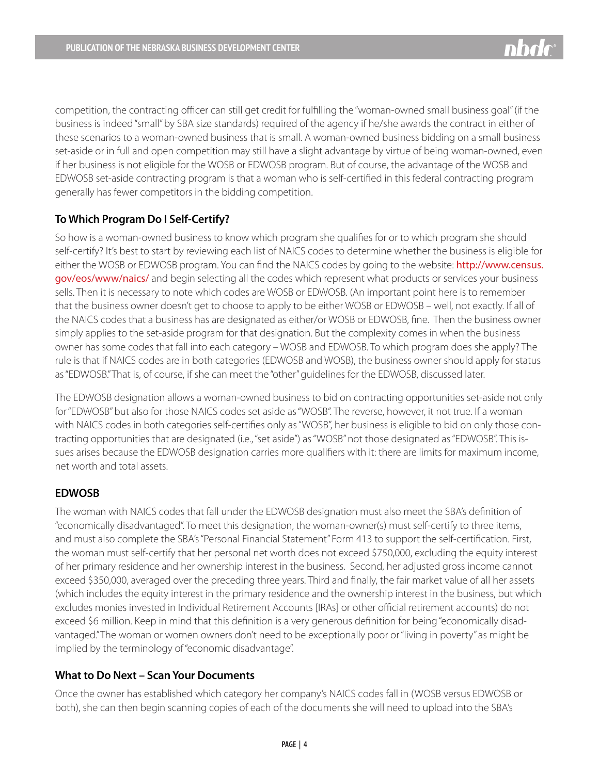competition, the contracting officer can still get credit for fulfilling the "woman-owned small business goal" (if the business is indeed "small" by SBA size standards) required of the agency if he/she awards the contract in either of these scenarios to a woman-owned business that is small. A woman-owned business bidding on a small business set-aside or in full and open competition may still have a slight advantage by virtue of being woman-owned, even if her business is not eligible for the WOSB or EDWOSB program. But of course, the advantage of the WOSB and EDWOSB set-aside contracting program is that a woman who is self-certified in this federal contracting program generally has fewer competitors in the bidding competition.

# **To Which Program Do I Self-Certify?**

So how is a woman-owned business to know which program she qualifies for or to which program she should self-certify? It's best to start by reviewing each list of NAICS codes to determine whether the business is eligible for either the WOSB or EDWOSB program. You can find the NAICS codes by going to the website: [http://www.census.](http://www.census.gov/eos/www/naics/) [gov/eos/www/naics/](http://www.census.gov/eos/www/naics/) and begin selecting all the codes which represent what products or services your business sells. Then it is necessary to note which codes are WOSB or EDWOSB. (An important point here is to remember that the business owner doesn't get to choose to apply to be either WOSB or EDWOSB – well, not exactly. If all of the NAICS codes that a business has are designated as either/or WOSB or EDWOSB, fine. Then the business owner simply applies to the set-aside program for that designation. But the complexity comes in when the business owner has some codes that fall into each category – WOSB and EDWOSB. To which program does she apply? The rule is that if NAICS codes are in both categories (EDWOSB and WOSB), the business owner should apply for status as "EDWOSB." That is, of course, if she can meet the "other" guidelines for the EDWOSB, discussed later.

The EDWOSB designation allows a woman-owned business to bid on contracting opportunities set-aside not only for "EDWOSB" but also for those NAICS codes set aside as "WOSB". The reverse, however, it not true. If a woman with NAICS codes in both categories self-certifies only as "WOSB", her business is eligible to bid on only those contracting opportunities that are designated (i.e., "set aside") as "WOSB" not those designated as "EDWOSB". This issues arises because the EDWOSB designation carries more qualifiers with it: there are limits for maximum income, net worth and total assets.

# **EDWOSB**

The woman with NAICS codes that fall under the EDWOSB designation must also meet the SBA's definition of "economically disadvantaged". To meet this designation, the woman-owner(s) must self-certify to three items, and must also complete the SBA's "Personal Financial Statement" Form 413 to support the self-certification. First, the woman must self-certify that her personal net worth does not exceed \$750,000, excluding the equity interest of her primary residence and her ownership interest in the business. Second, her adjusted gross income cannot exceed \$350,000, averaged over the preceding three years. Third and finally, the fair market value of all her assets (which includes the equity interest in the primary residence and the ownership interest in the business, but which excludes monies invested in Individual Retirement Accounts [IRAs] or other official retirement accounts) do not exceed \$6 million. Keep in mind that this definition is a very generous definition for being "economically disadvantaged." The woman or women owners don't need to be exceptionally poor or "living in poverty" as might be implied by the terminology of "economic disadvantage".

# **What to Do Next – Scan Your Documents**

Once the owner has established which category her company's NAICS codes fall in (WOSB versus EDWOSB or both), she can then begin scanning copies of each of the documents she will need to upload into the SBA's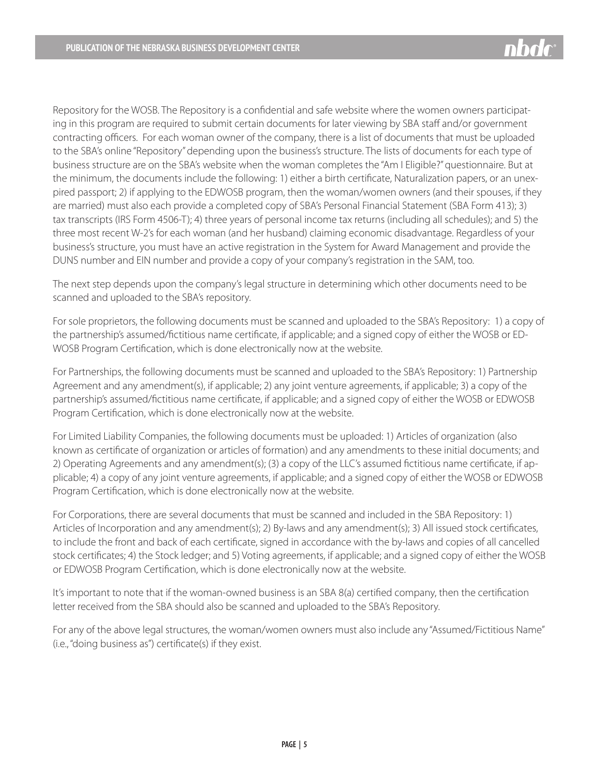Repository for the WOSB. The Repository is a confidential and safe website where the women owners participating in this program are required to submit certain documents for later viewing by SBA staff and/or government contracting officers. For each woman owner of the company, there is a list of documents that must be uploaded to the SBA's online "Repository" depending upon the business's structure. The lists of documents for each type of business structure are on the SBA's website when the woman completes the "Am I Eligible?" questionnaire. But at the minimum, the documents include the following: 1) either a birth certificate, Naturalization papers, or an unexpired passport; 2) if applying to the EDWOSB program, then the woman/women owners (and their spouses, if they are married) must also each provide a completed copy of SBA's Personal Financial Statement (SBA Form 413); 3) tax transcripts (IRS Form 4506-T); 4) three years of personal income tax returns (including all schedules); and 5) the three most recent W-2's for each woman (and her husband) claiming economic disadvantage. Regardless of your business's structure, you must have an active registration in the System for Award Management and provide the DUNS number and EIN number and provide a copy of your company's registration in the SAM, too.

The next step depends upon the company's legal structure in determining which other documents need to be scanned and uploaded to the SBA's repository.

For sole proprietors, the following documents must be scanned and uploaded to the SBA's Repository: 1) a copy of the partnership's assumed/fictitious name certificate, if applicable; and a signed copy of either the WOSB or ED-WOSB Program Certification, which is done electronically now at the website.

For Partnerships, the following documents must be scanned and uploaded to the SBA's Repository: 1) Partnership Agreement and any amendment(s), if applicable; 2) any joint venture agreements, if applicable; 3) a copy of the partnership's assumed/fictitious name certificate, if applicable; and a signed copy of either the WOSB or EDWOSB Program Certification, which is done electronically now at the website.

For Limited Liability Companies, the following documents must be uploaded: 1) Articles of organization (also known as certificate of organization or articles of formation) and any amendments to these initial documents; and 2) Operating Agreements and any amendment(s); (3) a copy of the LLC's assumed fictitious name certificate, if applicable; 4) a copy of any joint venture agreements, if applicable; and a signed copy of either the WOSB or EDWOSB Program Certification, which is done electronically now at the website.

For Corporations, there are several documents that must be scanned and included in the SBA Repository: 1) Articles of Incorporation and any amendment(s); 2) By-laws and any amendment(s); 3) All issued stock certificates, to include the front and back of each certificate, signed in accordance with the by-laws and copies of all cancelled stock certificates; 4) the Stock ledger; and 5) Voting agreements, if applicable; and a signed copy of either the WOSB or EDWOSB Program Certification, which is done electronically now at the website.

It's important to note that if the woman-owned business is an SBA 8(a) certified company, then the certification letter received from the SBA should also be scanned and uploaded to the SBA's Repository.

For any of the above legal structures, the woman/women owners must also include any "Assumed/Fictitious Name" (i.e., "doing business as") certificate(s) if they exist.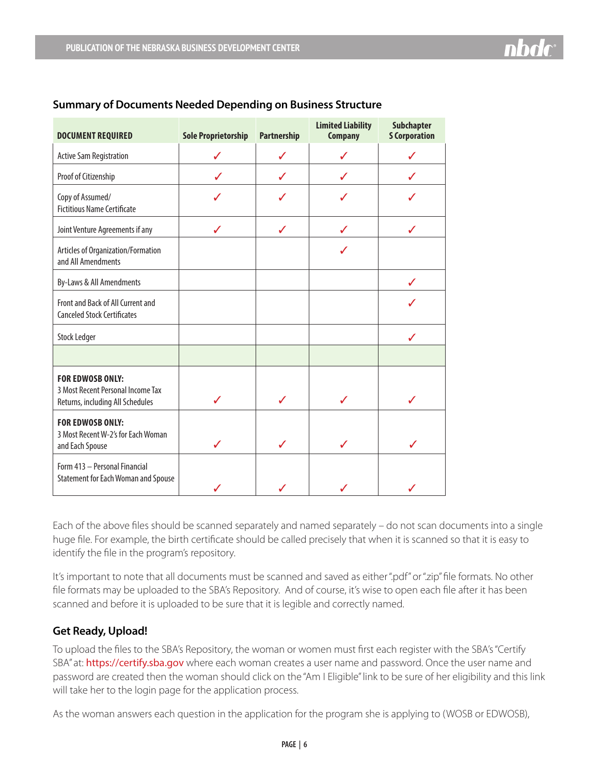| <b>DOCUMENT REQUIRED</b>                                                                         | <b>Sole Proprietorship</b> | <b>Partnership</b> | <b>Limited Liability</b><br><b>Company</b> | <b>Subchapter</b><br><b>S Corporation</b> |
|--------------------------------------------------------------------------------------------------|----------------------------|--------------------|--------------------------------------------|-------------------------------------------|
| <b>Active Sam Registration</b>                                                                   |                            |                    |                                            |                                           |
| Proof of Citizenship                                                                             |                            | ℐ                  |                                            |                                           |
| Copy of Assumed/<br><b>Fictitious Name Certificate</b>                                           |                            |                    |                                            |                                           |
| Joint Venture Agreements if any                                                                  | ℐ                          | ℐ                  |                                            | ℐ                                         |
| Articles of Organization/Formation<br>and All Amendments                                         |                            |                    | J                                          |                                           |
| By-Laws & All Amendments                                                                         |                            |                    |                                            |                                           |
| Front and Back of All Current and<br><b>Canceled Stock Certificates</b>                          |                            |                    |                                            |                                           |
| <b>Stock Ledger</b>                                                                              |                            |                    |                                            |                                           |
|                                                                                                  |                            |                    |                                            |                                           |
| <b>FOR EDWOSB ONLY:</b><br>3 Most Recent Personal Income Tax<br>Returns, including All Schedules | ℐ                          | ℐ                  | ✓                                          | J                                         |
| <b>FOR EDWOSB ONLY:</b><br>3 Most Recent W-2's for Each Woman<br>and Each Spouse                 |                            |                    |                                            | $\boldsymbol{I}$                          |
| Form 413 - Personal Financial<br><b>Statement for Each Woman and Spouse</b>                      |                            |                    |                                            |                                           |

#### **Summary of Documents Needed Depending on Business Structure**

Each of the above files should be scanned separately and named separately – do not scan documents into a single huge file. For example, the birth certificate should be called precisely that when it is scanned so that it is easy to identify the file in the program's repository.

It's important to note that all documents must be scanned and saved as either ".pdf" or ".zip" file formats. No other file formats may be uploaded to the SBA's Repository. And of course, it's wise to open each file after it has been scanned and before it is uploaded to be sure that it is legible and correctly named.

# **Get Ready, Upload!**

To upload the files to the SBA's Repository, the woman or women must first each register with the SBA's "Certify SBA" at: <https://certify.sba.gov> where each woman creates a user name and password. Once the user name and password are created then the woman should click on the "Am I Eligible" link to be sure of her eligibility and this link will take her to the login page for the application process.

As the woman answers each question in the application for the program she is applying to (WOSB or EDWOSB),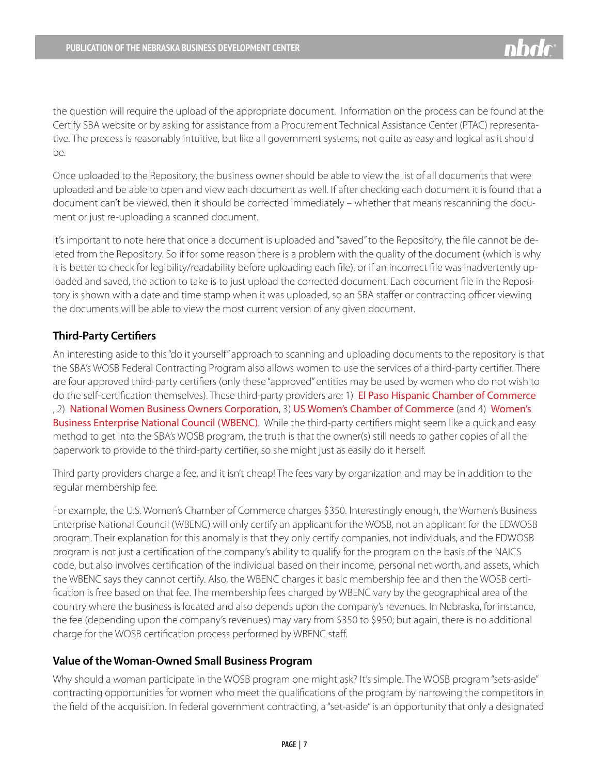the question will require the upload of the appropriate document. Information on the process can be found at the Certify SBA website or by asking for assistance from a Procurement Technical Assistance Center (PTAC) representative. The process is reasonably intuitive, but like all government systems, not quite as easy and logical as it should be.

Once uploaded to the Repository, the business owner should be able to view the list of all documents that were uploaded and be able to open and view each document as well. If after checking each document it is found that a document can't be viewed, then it should be corrected immediately – whether that means rescanning the document or just re-uploading a scanned document.

It's important to note here that once a document is uploaded and "saved" to the Repository, the file cannot be deleted from the Repository. So if for some reason there is a problem with the quality of the document (which is why it is better to check for legibility/readability before uploading each file), or if an incorrect file was inadvertently uploaded and saved, the action to take is to just upload the corrected document. Each document file in the Repository is shown with a date and time stamp when it was uploaded, so an SBA staffer or contracting officer viewing the documents will be able to view the most current version of any given document.

#### **Third-Party Certifiers**

An interesting aside to this "do it yourself" approach to scanning and uploading documents to the repository is that the SBA's WOSB Federal Contracting Program also allows women to use the services of a third-party certifier. There are four approved third-party certifiers (only these "approved" entities may be used by women who do not wish to do the self-certification themselves). These third-party providers are: 1) [El Paso Hispanic Chamber of Commerce](http://www.ephcc.org) , 2) [National Women Business Owners Corporation](http://www.nwboc.org), 3) [US Women's Chamber of Commerce](http://www.uswcc.org/certification) (and 4) [Women's](http://www.wbenc.org)  [Business Enterprise National Council \(WBENC\)](http://www.wbenc.org). While the third-party certifiers might seem like a quick and easy method to get into the SBA's WOSB program, the truth is that the owner(s) still needs to gather copies of all the paperwork to provide to the third-party certifier, so she might just as easily do it herself.

Third party providers charge a fee, and it isn't cheap! The fees vary by organization and may be in addition to the regular membership fee.

For example, the U.S. Women's Chamber of Commerce charges \$350. Interestingly enough, the Women's Business Enterprise National Council (WBENC) will only certify an applicant for the WOSB, not an applicant for the EDWOSB program. Their explanation for this anomaly is that they only certify companies, not individuals, and the EDWOSB program is not just a certification of the company's ability to qualify for the program on the basis of the NAICS code, but also involves certification of the individual based on their income, personal net worth, and assets, which the WBENC says they cannot certify. Also, the WBENC charges it basic membership fee and then the WOSB certification is free based on that fee. The membership fees charged by WBENC vary by the geographical area of the country where the business is located and also depends upon the company's revenues. In Nebraska, for instance, the fee (depending upon the company's revenues) may vary from \$350 to \$950; but again, there is no additional charge for the WOSB certification process performed by WBENC staff.

#### **Value of the Woman-Owned Small Business Program**

Why should a woman participate in the WOSB program one might ask? It's simple. The WOSB program "sets-aside" contracting opportunities for women who meet the qualifications of the program by narrowing the competitors in the field of the acquisition. In federal government contracting, a "set-aside" is an opportunity that only a designated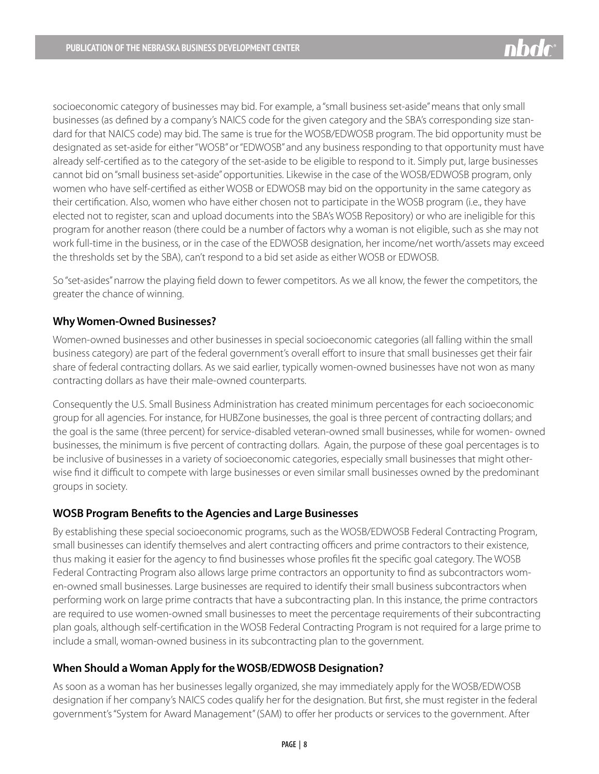

socioeconomic category of businesses may bid. For example, a "small business set-aside" means that only small businesses (as defined by a company's NAICS code for the given category and the SBA's corresponding size standard for that NAICS code) may bid. The same is true for the WOSB/EDWOSB program. The bid opportunity must be designated as set-aside for either "WOSB" or "EDWOSB" and any business responding to that opportunity must have already self-certified as to the category of the set-aside to be eligible to respond to it. Simply put, large businesses cannot bid on "small business set-aside" opportunities. Likewise in the case of the WOSB/EDWOSB program, only women who have self-certified as either WOSB or EDWOSB may bid on the opportunity in the same category as their certification. Also, women who have either chosen not to participate in the WOSB program (i.e., they have elected not to register, scan and upload documents into the SBA's WOSB Repository) or who are ineligible for this program for another reason (there could be a number of factors why a woman is not eligible, such as she may not work full-time in the business, or in the case of the EDWOSB designation, her income/net worth/assets may exceed the thresholds set by the SBA), can't respond to a bid set aside as either WOSB or EDWOSB.

So "set-asides" narrow the playing field down to fewer competitors. As we all know, the fewer the competitors, the greater the chance of winning.

# **Why Women-Owned Businesses?**

Women-owned businesses and other businesses in special socioeconomic categories (all falling within the small business category) are part of the federal government's overall effort to insure that small businesses get their fair share of federal contracting dollars. As we said earlier, typically women-owned businesses have not won as many contracting dollars as have their male-owned counterparts.

Consequently the U.S. Small Business Administration has created minimum percentages for each socioeconomic group for all agencies. For instance, for HUBZone businesses, the goal is three percent of contracting dollars; and the goal is the same (three percent) for service-disabled veteran-owned small businesses, while for women- owned businesses, the minimum is five percent of contracting dollars. Again, the purpose of these goal percentages is to be inclusive of businesses in a variety of socioeconomic categories, especially small businesses that might otherwise find it difficult to compete with large businesses or even similar small businesses owned by the predominant groups in society.

#### **WOSB Program Benefits to the Agencies and Large Businesses**

By establishing these special socioeconomic programs, such as the WOSB/EDWOSB Federal Contracting Program, small businesses can identify themselves and alert contracting officers and prime contractors to their existence, thus making it easier for the agency to find businesses whose profiles fit the specific goal category. The WOSB Federal Contracting Program also allows large prime contractors an opportunity to find as subcontractors women-owned small businesses. Large businesses are required to identify their small business subcontractors when performing work on large prime contracts that have a subcontracting plan. In this instance, the prime contractors are required to use women-owned small businesses to meet the percentage requirements of their subcontracting plan goals, although self-certification in the WOSB Federal Contracting Program is not required for a large prime to include a small, woman-owned business in its subcontracting plan to the government.

#### **When Should a Woman Apply for the WOSB/EDWOSB Designation?**

As soon as a woman has her businesses legally organized, she may immediately apply for the WOSB/EDWOSB designation if her company's NAICS codes qualify her for the designation. But first, she must register in the federal government's "System for Award Management" (SAM) to offer her products or services to the government. After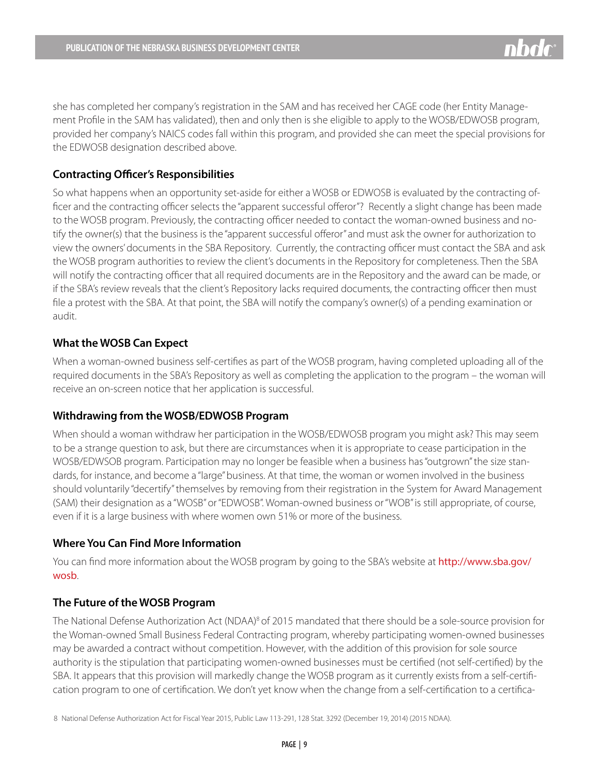she has completed her company's registration in the SAM and has received her CAGE code (her Entity Management Profile in the SAM has validated), then and only then is she eligible to apply to the WOSB/EDWOSB program, provided her company's NAICS codes fall within this program, and provided she can meet the special provisions for the EDWOSB designation described above.

#### **Contracting Officer's Responsibilities**

So what happens when an opportunity set-aside for either a WOSB or EDWOSB is evaluated by the contracting officer and the contracting officer selects the "apparent successful offeror"? Recently a slight change has been made to the WOSB program. Previously, the contracting officer needed to contact the woman-owned business and notify the owner(s) that the business is the "apparent successful offeror" and must ask the owner for authorization to view the owners' documents in the SBA Repository. Currently, the contracting officer must contact the SBA and ask the WOSB program authorities to review the client's documents in the Repository for completeness. Then the SBA will notify the contracting officer that all required documents are in the Repository and the award can be made, or if the SBA's review reveals that the client's Repository lacks required documents, the contracting officer then must file a protest with the SBA. At that point, the SBA will notify the company's owner(s) of a pending examination or audit.

#### **What the WOSB Can Expect**

When a woman-owned business self-certifies as part of the WOSB program, having completed uploading all of the required documents in the SBA's Repository as well as completing the application to the program – the woman will receive an on-screen notice that her application is successful.

#### **Withdrawing from the WOSB/EDWOSB Program**

When should a woman withdraw her participation in the WOSB/EDWOSB program you might ask? This may seem to be a strange question to ask, but there are circumstances when it is appropriate to cease participation in the WOSB/EDWSOB program. Participation may no longer be feasible when a business has "outgrown" the size standards, for instance, and become a "large" business. At that time, the woman or women involved in the business should voluntarily "decertify" themselves by removing from their registration in the System for Award Management (SAM) their designation as a "WOSB" or "EDWOSB". Woman-owned business or "WOB" is still appropriate, of course, even if it is a large business with where women own 51% or more of the business.

#### **Where You Can Find More Information**

You can find more information about the WOSB program by going to the SBA's website at [http://www.sba.gov/](http://www.sba.gov/wosb) [wosb](http://www.sba.gov/wosb).

#### **The Future of the WOSB Program**

The National Defense Authorization Act (NDAA)<sup>8</sup> of 2015 mandated that there should be a sole-source provision for the Woman-owned Small Business Federal Contracting program, whereby participating women-owned businesses may be awarded a contract without competition. However, with the addition of this provision for sole source authority is the stipulation that participating women-owned businesses must be certified (not self-certified) by the SBA. It appears that this provision will markedly change the WOSB program as it currently exists from a self-certification program to one of certification. We don't yet know when the change from a self-certification to a certifica-

8 National Defense Authorization Act for Fiscal Year 2015, Public Law 113-291, 128 Stat. 3292 (December 19, 2014) (2015 NDAA).